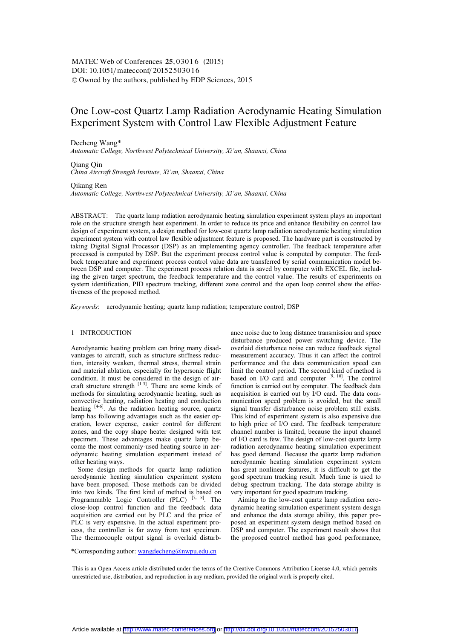DOI: 10.1051/ matecconf/ 20152503016 -<sup>C</sup> Owned by the authors, published by EDP Sciences, 2015 MATEC Web of Conferences 25, 03016 (2015)

# One Low-cost Quartz Lamp Radiation Aerodynamic Heating Simulation Experiment System with Control Law Flexible Adjustment Feature

### Decheng Wang\*

*Automatic College, Northwest Polytechnical University, Xi'an, Shaanxi, China* 

## Qiang Qin *China Aircraft Strength Institute, Xi'an, Shaanxi, China*

Qikang Ren

*Automatic College, Northwest Polytechnical University, Xi'an, Shaanxi, China* 

ABSTRACT: The quartz lamp radiation aerodynamic heating simulation experiment system plays an important role on the structure strength heat experiment. In order to reduce its price and enhance flexibility on control law design of experiment system, a design method for low-cost quartz lamp radiation aerodynamic heating simulation experiment system with control law flexible adjustment feature is proposed. The hardware part is constructed by taking Digital Signal Processor (DSP) as an implementing agency controller. The feedback temperature after processed is computed by DSP. But the experiment process control value is computed by computer. The feedback temperature and experiment process control value data are transferred by serial communication model between DSP and computer. The experiment process relation data is saved by computer with EXCEL file, including the given target spectrum, the feedback temperature and the control value. The results of experiments on system identification, PID spectrum tracking, different zone control and the open loop control show the effectiveness of the proposed method.

*Keywords*: aerodynamic heating; quartz lamp radiation; temperature control; DSP

## 1 INTRODUCTION

Aerodynamic heating problem can bring many disadvantages to aircraft, such as structure stiffness reduction, intensity weaken, thermal stress, thermal strain and material ablation, especially for hypersonic flight condition. It must be considered in the design of aircraft structure strength  $[1-3]$ . There are some kinds of methods for simulating aerodynamic heating, such as convective heating, radiation heating and conduction heating  $[4-6]$ . As the radiation heating source, quartz lamp has following advantages such as the easier operation, lower expense, easier control for different zones, and the copy shape heater designed with test specimen. These advantages make quartz lamp become the most commonly-used heating source in aerodynamic heating simulation experiment instead of other heating ways.

Some design methods for quartz lamp radiation aerodynamic heating simulation experiment system have been proposed. Those methods can be divided into two kinds. The first kind of method is based on Programmable Logic Controller  $(PLC)^{[7, 8]}$ . The close-loop control function and the feedback data acquisition are carried out by PLC and the price of PLC is very expensive. In the actual experiment process, the controller is far away from test specimen. The thermocouple output signal is overlaid disturbance noise due to long distance transmission and space disturbance produced power switching device. The overlaid disturbance noise can reduce feedback signal measurement accuracy. Thus it can affect the control performance and the data communication speed can limit the control period. The second kind of method is based on  $I/O$  card and computer  $[9, 10]$ . The control function is carried out by computer. The feedback data acquisition is carried out by I/O card. The data communication speed problem is avoided, but the small signal transfer disturbance noise problem still exists. This kind of experiment system is also expensive due to high price of I/O card. The feedback temperature channel number is limited, because the input channel of I/O card is few. The design of low-cost quartz lamp radiation aerodynamic heating simulation experiment has good demand. Because the quartz lamp radiation aerodynamic heating simulation experiment system has great nonlinear features, it is difficult to get the good spectrum tracking result. Much time is used to debug spectrum tracking. The data storage ability is very important for good spectrum tracking.

Aiming to the low-cost quartz lamp radiation aerodynamic heating simulation experiment system design and enhance the data storage ability, this paper proposed an experiment system design method based on DSP and computer. The experiment result shows that the proposed control method has good performance,

\*Corresponding author: wangdecheng@nwpu.edu.cn

This is an Open Access article distributed under the terms of the Creative Commons Attribution License 4.0, which permits unrestricted use, distribution, and reproduction in any medium, provided the original work is properly cited.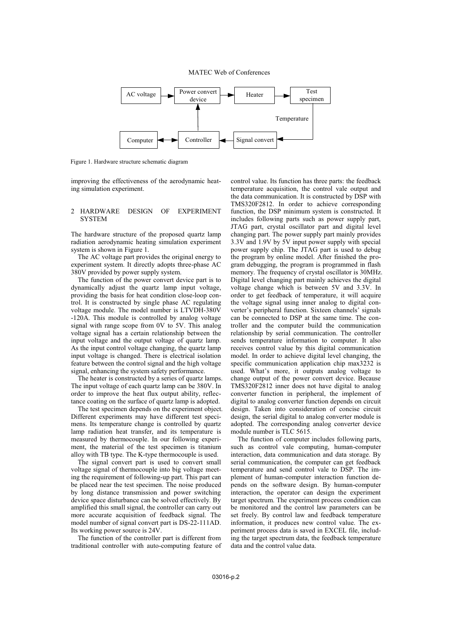MATEC Web of Conferences



Figure 1. Hardware structure schematic diagram

improving the effectiveness of the aerodynamic heating simulation experiment.

#### 2 HARDWARE DESIGN OF EXPERIMENT **SYSTEM**

The hardware structure of the proposed quartz lamp radiation aerodynamic heating simulation experiment system is shown in Figure 1.

The AC voltage part provides the original energy to experiment system. It directly adopts three-phase AC 380V provided by power supply system.

The function of the power convert device part is to dynamically adjust the quartz lamp input voltage, providing the basis for heat condition close-loop control. It is constructed by single phase AC regulating voltage module. The model number is LTVDH-380V -120A. This module is controlled by analog voltage signal with range scope from 0V to 5V. This analog voltage signal has a certain relationship between the input voltage and the output voltage of quartz lamp. As the input control voltage changing, the quartz lamp input voltage is changed. There is electrical isolation feature between the control signal and the high voltage signal, enhancing the system safety performance.

The heater is constructed by a series of quartz lamps. The input voltage of each quartz lamp can be 380V. In order to improve the heat flux output ability, reflectance coating on the surface of quartz lamp is adopted.

The test specimen depends on the experiment object. Different experiments may have different test specimens. Its temperature change is controlled by quartz lamp radiation heat transfer, and its temperature is measured by thermocouple. In our following experiment, the material of the test specimen is titanium alloy with TB type. The K-type thermocouple is used.

The signal convert part is used to convert small voltage signal of thermocouple into big voltage meeting the requirement of following-up part. This part can be placed near the test specimen. The noise produced by long distance transmission and power switching device space disturbance can be solved effectively. By amplified this small signal, the controller can carry out more accurate acquisition of feedback signal. The model number of signal convert part is DS-22-111AD. Its working power source is 24V.

The function of the controller part is different from traditional controller with auto-computing feature of control value. Its function has three parts: the feedback temperature acquisition, the control vale output and the data communication. It is constructed by DSP with TMS320F2812. In order to achieve corresponding function, the DSP minimum system is constructed. It includes following parts such as power supply part, JTAG part, crystal oscillator part and digital level changing part. The power supply part mainly provides 3.3V and 1.9V by 5V input power supply with special power supply chip. The JTAG part is used to debug the program by online model. After finished the program debugging, the program is programmed in flash memory. The frequency of crystal oscillator is 30MHz. Digital level changing part mainly achieves the digital voltage change which is between 5V and 3.3V. In order to get feedback of temperature, it will acquire the voltage signal using inner analog to digital converter's peripheral function. Sixteen channels' signals can be connected to DSP at the same time. The controller and the computer build the communication relationship by serial communication. The controller sends temperature information to computer. It also receives control value by this digital communication model. In order to achieve digital level changing, the specific communication application chip max3232 is used. What's more, it outputs analog voltage to change output of the power convert device. Because TMS320F2812 inner does not have digital to analog converter function in peripheral, the implement of digital to analog converter function depends on circuit design. Taken into consideration of concise circuit design, the serial digital to analog converter module is adopted. The corresponding analog converter device module number is TLC 5615.

The function of computer includes following parts, such as control vale computing, human-computer interaction, data communication and data storage. By serial communication, the computer can get feedback temperature and send control vale to DSP. The implement of human-computer interaction function depends on the software design. By human-computer interaction, the operator can design the experiment target spectrum. The experiment process condition can be monitored and the control law parameters can be set freely. By control law and feedback temperature information, it produces new control value. The experiment process data is saved in EXCEL file, including the target spectrum data, the feedback temperature data and the control value data.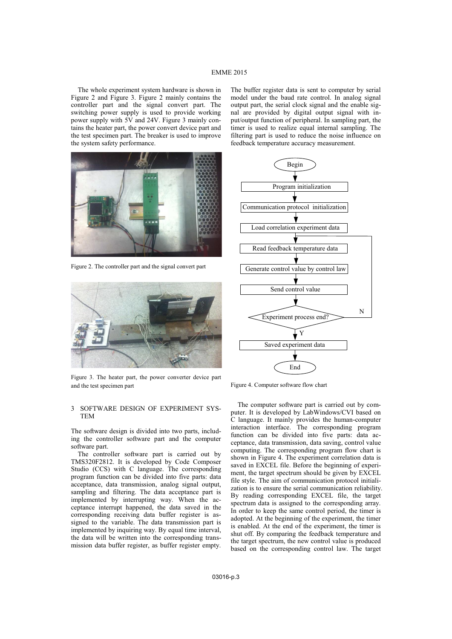## EMME 2015

The whole experiment system hardware is shown in Figure 2 and Figure 3. Figure 2 mainly contains the controller part and the signal convert part. The switching power supply is used to provide working power supply with 5V and 24V. Figure 3 mainly contains the heater part, the power convert device part and the test specimen part. The breaker is used to improve the system safety performance.

The buffer register data is sent to computer by serial model under the baud rate control. In analog signal output part, the serial clock signal and the enable signal are provided by digital output signal with input/output function of peripheral. In sampling part, the timer is used to realize equal internal sampling. The filtering part is used to reduce the noise influence on feedback temperature accuracy measurement.



Figure 2. The controller part and the signal convert part



Figure 3. The heater part, the power converter device part and the test specimen part

#### 3 SOFTWARE DESIGN OF EXPERIMENT SYS-**TEM**

The software design is divided into two parts, including the controller software part and the computer software part.

The controller software part is carried out by TMS320F2812. It is developed by Code Composer Studio (CCS) with C language. The corresponding program function can be divided into five parts: data acceptance, data transmission, analog signal output, sampling and filtering. The data acceptance part is implemented by interrupting way. When the acceptance interrupt happened, the data saved in the corresponding receiving data buffer register is assigned to the variable. The data transmission part is implemented by inquiring way. By equal time interval, the data will be written into the corresponding transmission data buffer register, as buffer register empty.



Figure 4. Computer software flow chart

The computer software part is carried out by computer. It is developed by LabWindows/CVI based on C language. It mainly provides the human-computer interaction interface. The corresponding program function can be divided into five parts: data acceptance, data transmission, data saving, control value computing. The corresponding program flow chart is shown in Figure 4. The experiment correlation data is saved in EXCEL file. Before the beginning of experiment, the target spectrum should be given by EXCEL file style. The aim of communication protocol initialization is to ensure the serial communication reliability. By reading corresponding EXCEL file, the target spectrum data is assigned to the corresponding array. In order to keep the same control period, the timer is adopted. At the beginning of the experiment, the timer is enabled. At the end of the experiment, the timer is shut off. By comparing the feedback temperature and the target spectrum, the new control value is produced based on the corresponding control law. The target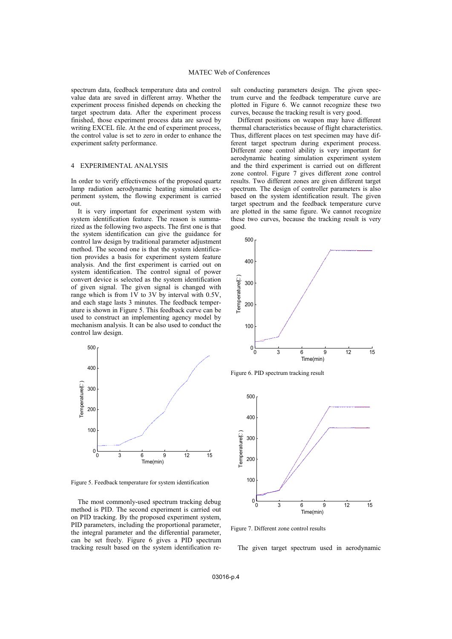spectrum data, feedback temperature data and control value data are saved in different array. Whether the experiment process finished depends on checking the target spectrum data. After the experiment process finished, those experiment process data are saved by writing EXCEL file. At the end of experiment process, the control value is set to zero in order to enhance the experiment safety performance.

#### 4 EXPERIMENTAL ANALYSIS

In order to verify effectiveness of the proposed quartz lamp radiation aerodynamic heating simulation experiment system, the flowing experiment is carried out.

It is very important for experiment system with system identification feature. The reason is summarized as the following two aspects. The first one is that the system identification can give the guidance for control law design by traditional parameter adjustment method. The second one is that the system identification provides a basis for experiment system feature analysis. And the first experiment is carried out on system identification. The control signal of power convert device is selected as the system identification of given signal. The given signal is changed with range which is from 1V to 3V by interval with 0.5V, and each stage lasts 3 minutes. The feedback temperature is shown in Figure 5. This feedback curve can be used to construct an implementing agency model by mechanism analysis. It can be also used to conduct the control law design.



Figure 5. Feedback temperature for system identification

The most commonly-used spectrum tracking debug method is PID. The second experiment is carried out on PID tracking. By the proposed experiment system, PID parameters, including the proportional parameter, the integral parameter and the differential parameter, can be set freely. Figure 6 gives a PID spectrum tracking result based on the system identification result conducting parameters design. The given spectrum curve and the feedback temperature curve are plotted in Figure 6. We cannot recognize these two curves, because the tracking result is very good.

Different positions on weapon may have different thermal characteristics because of flight characteristics. Thus, different places on test specimen may have different target spectrum during experiment process. Different zone control ability is very important for aerodynamic heating simulation experiment system and the third experiment is carried out on different zone control. Figure 7 gives different zone control results. Two different zones are given different target spectrum. The design of controller parameters is also based on the system identification result. The given target spectrum and the feedback temperature curve are plotted in the same figure. We cannot recognize these two curves, because the tracking result is very good.







Figure 7. Different zone control results

The given target spectrum used in aerodynamic